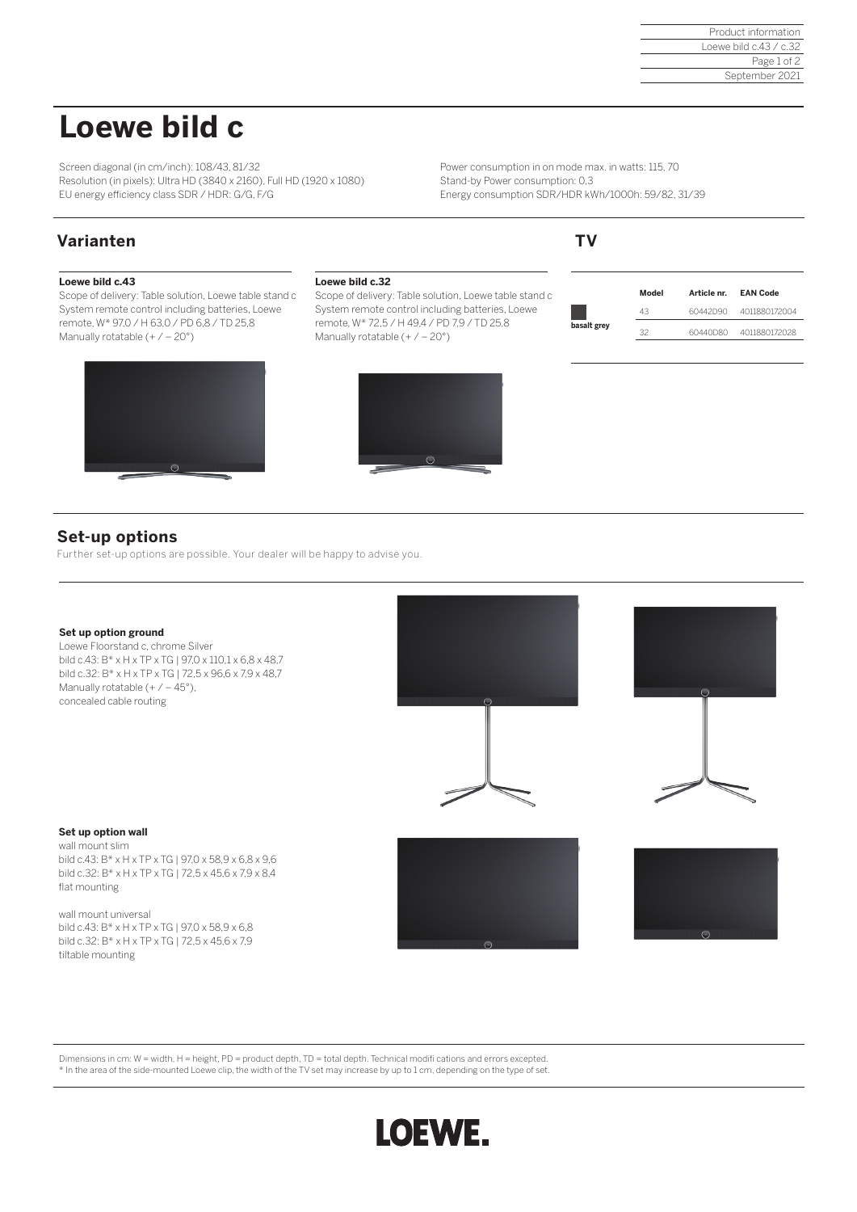# **Loewe bild c**

Screen diagonal (in cm/inch): 108/43, 81/32 Resolution (in pixels): Ultra HD (3840 x 2160), Full HD (1920 x 1080) EU energy efficiency class SDR / HDR: G/G, F/G

Power consumption in on mode max. in watts: 115, 70 Stand-by Power consumption: 0,3 Energy consumption SDR/HDR kWh/1000h: 59/82, 31/39

# **Varianten TV**

## **Loewe bild c.43**

Scope of delivery: Table solution, Loewe table stand c System remote control including batteries, Loewe remote, W\* 97,0 / H 63,0 / PD 6,8 / TD 25,8 Manually rotatable  $(+/-20^{\circ})$ 



### **Loewe bild c.32**

Scope of delivery: Table solution, Loewe table stand c System remote control including batteries, Loewe remote, W\* 72,5 / H 49,4 / PD 7,9 / TD 25,8 Manually rotatable  $(+/-20^{\circ})$ 



|             | Model | Article nr. | <b>EAN Code</b> |
|-------------|-------|-------------|-----------------|
|             | 43    | 60442D90    | 4011880172004   |
| basalt grey | マフ    | 60440D80    | 4011880172028   |

# **Set-up options**

Further set-up options are possible. Your dealer will be happy to advise you.

### **Set up option ground**

Loewe Floorstand c, chrome Silver bild c.43: B\* x H x TP x TG | 97,0 x 110,1 x 6,8 x 48,7 bild c.32: B\* x H x TP x TG | 72,5 x 96,6 x 7,9 x 48,7 Manually rotatable  $(+/-45^{\circ})$ , concealed cable routing





### **Set up option wall**

wall mount slim bild c.43: B\* x H x TP x TG | 97,0 x 58,9 x 6,8 x 9,6 bild c.32: B\* x H x TP x TG | 72,5 x 45,6 x 7,9 x 8,4 flat mounting

wall mount universal bild c.43: B\* x H x TP x TG | 97,0 x 58,9 x 6,8 bild c.32: B\* x H x TP x TG | 72,5 x 45,6 x 7,9 tiltable mounting





Dimensions in cm: W = width, H = height, PD = product depth, TD = total depth. Technical modifi cations and errors excepted. \* In the area of the side-mounted Loewe clip, the width of the TV set may increase by up to 1 cm, depending on the type of set.